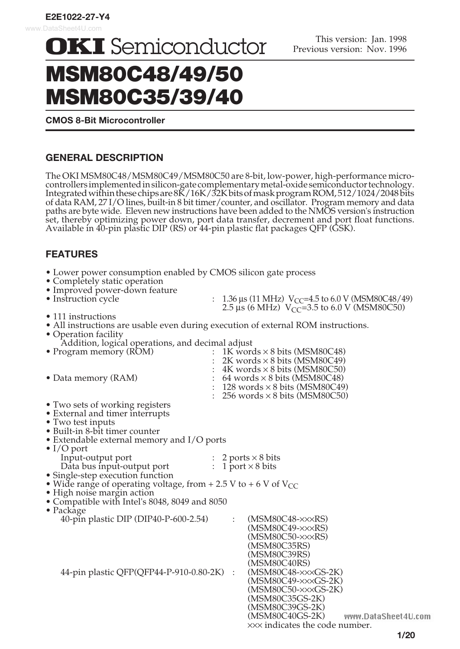**OKI** Semiconductor

# MSM80C48/49/50 MSM80C35/39/40

**CMOS 8-Bit Microcontroller**

# **GENERAL DESCRIPTION**

The OKI MSM80C48/MSM80C49/MSM80C50 are 8-bit, low-power, high-performance microcontrollers implemented in silicon-gate complementary metal-oxide semiconductor technology. Integrated within these chips are 8K/16K/32K bits of mask program ROM, 512/1024/2048 bits of data RAM, 27 I/O lines, built-in 8 bit timer/counter, and oscillator. Program memory and data paths are byte wide. Eleven new instructions have been added to the NMOS version's instruction set, thereby optimizing power down, port data transfer, decrement and port float functions. Available in 40-pin plastic DIP (RS) or 44-pin plastic flat packages QFP (GSK).

# **FEATURES**

| • Lower power consumption enabled by CMOS silicon gate process<br>• Completely static operation<br>• Improved power-down feature<br>• Instruction cycle |                      | 1.36 µs (11 MHz) $V_{CC}$ =4.5 to 6.0 V (MSM80C48/49)   |  |
|---------------------------------------------------------------------------------------------------------------------------------------------------------|----------------------|---------------------------------------------------------|--|
|                                                                                                                                                         |                      | 2.5 us (6 MHz) $V_{\text{CC}}$ =3.5 to 6.0 V (MSM80C50) |  |
| • 111 instructions<br>• All instructions are usable even during execution of external ROM instructions.<br>• Operation facility                         |                      |                                                         |  |
| Addition, logical operations, and decimal adjust                                                                                                        |                      |                                                         |  |
| • Program memory (ROM)                                                                                                                                  |                      | 1K words $\times$ 8 bits (MSM80C48)                     |  |
|                                                                                                                                                         |                      | 2K words $\times$ 8 bits (MSM80C49)                     |  |
|                                                                                                                                                         |                      | $\pm$ 4K words $\times$ 8 bits (MSM80C50)               |  |
| • Data memory (RAM)                                                                                                                                     |                      | 64 words $\times$ 8 bits (MSM80C48)                     |  |
|                                                                                                                                                         |                      | 128 words $\times$ 8 bits (MSM80C49)                    |  |
|                                                                                                                                                         |                      | $\therefore$ 256 words $\times$ 8 bits (MSM80C50)       |  |
| • Two sets of working registers                                                                                                                         |                      |                                                         |  |
| • External and timer interrupts                                                                                                                         |                      |                                                         |  |
| • Two test inputs                                                                                                                                       |                      |                                                         |  |
| • Built-in 8-bit timer counter                                                                                                                          |                      |                                                         |  |
| • Extendable external memory and $I/O$ ports                                                                                                            |                      |                                                         |  |
| $\bullet$ I/O port                                                                                                                                      |                      |                                                         |  |
| Input-output port                                                                                                                                       |                      | 2 ports $\times$ 8 bits                                 |  |
| Data bus input-output port                                                                                                                              |                      | : 1 port $\times$ 8 bits                                |  |
| • Single-step execution function                                                                                                                        |                      |                                                         |  |
| • Wide range of operating voltage, from + 2.5 V to + 6 V of $V_{CC}$                                                                                    |                      |                                                         |  |
| • High noise margin action                                                                                                                              |                      |                                                         |  |
| • Compatible with Intel's 8048, 8049 and 8050                                                                                                           |                      |                                                         |  |
| $\bullet$ Package                                                                                                                                       |                      |                                                         |  |
| 40-pin plastic DIP (DIP40-P-600-2.54)                                                                                                                   | $\ddot{\phantom{a}}$ | $(MSM80C48-xx\times RS)$                                |  |
|                                                                                                                                                         |                      | $(MSM80C49-xx\times RS)$                                |  |
|                                                                                                                                                         |                      | $(MSM80C50-xx\times RS)$                                |  |
|                                                                                                                                                         |                      | (MSM80C35RS)                                            |  |
|                                                                                                                                                         |                      | (MSM80C39RS)                                            |  |
|                                                                                                                                                         |                      | (MSM80C40RS)                                            |  |
| 44-pin plastic QFP(QFP44-P-910-0.80-2K) :                                                                                                               |                      | $(MSM80C48-xx\times GS-2K)$                             |  |
|                                                                                                                                                         |                      | $(MSM80C49-xx\times GS-2K)$                             |  |
|                                                                                                                                                         |                      | $(MSM80C50-xx\times GS-2K)$                             |  |
|                                                                                                                                                         |                      | (MSM80C35GS-2K)                                         |  |
|                                                                                                                                                         |                      | (MSM80C39GS-2K)                                         |  |
|                                                                                                                                                         |                      | (MSM80C40GS-2K) www.DataSheet4U.com                     |  |
|                                                                                                                                                         |                      | xxx indicates the code number.                          |  |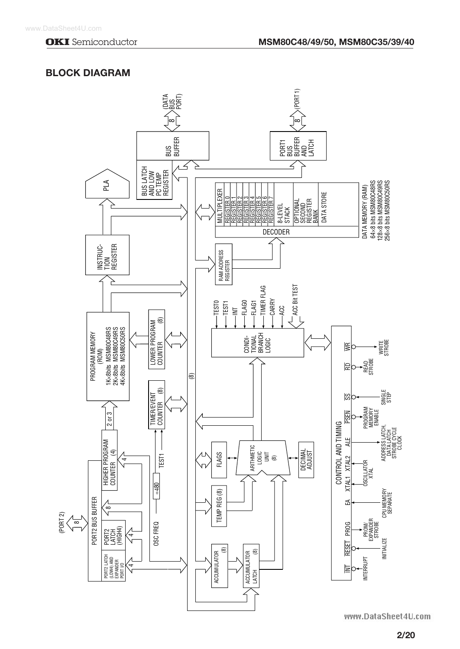# **BLOCK DIAGRAM**

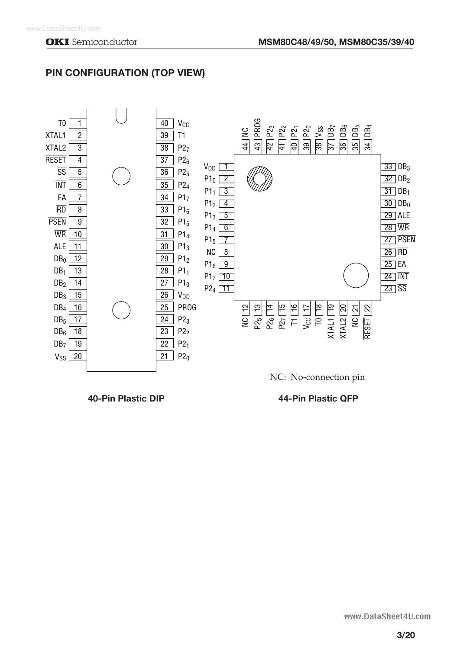

# **PIN CONFIGURATION (TOP VIEW)**

**40-Pin Plastic DIP 44-Pin Plastic QFP**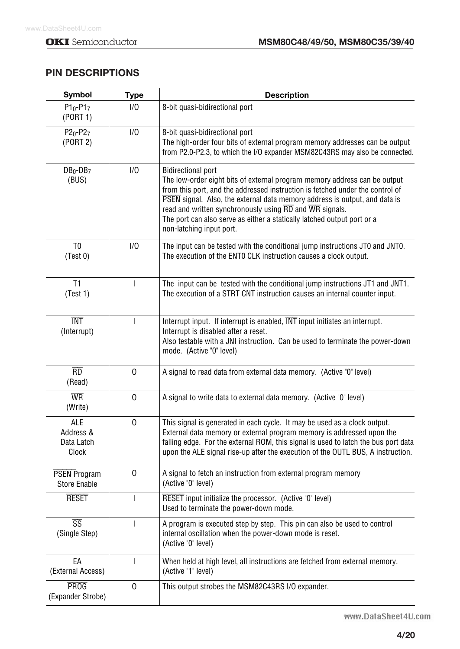# **PIN DESCRIPTIONS**

| <b>Symbol</b>                              | <b>Type</b>    | <b>Description</b>                                                                                                                                                                                                                                                                                                                                                                                                                                                |
|--------------------------------------------|----------------|-------------------------------------------------------------------------------------------------------------------------------------------------------------------------------------------------------------------------------------------------------------------------------------------------------------------------------------------------------------------------------------------------------------------------------------------------------------------|
| $P1_0 - P1_7$<br>(PORT 1)                  | 1/0            | 8-bit quasi-bidirectional port                                                                                                                                                                                                                                                                                                                                                                                                                                    |
| $P2_0 - P2_7$<br>(PORT 2)                  | 1/0            | 8-bit quasi-bidirectional port<br>The high-order four bits of external program memory addresses can be output<br>from P2.0-P2.3, to which the I/O expander MSM82C43RS may also be connected.                                                                                                                                                                                                                                                                      |
| $DB_0$ -DB <sub>7</sub><br>(BUS)           | 1/0            | <b>Bidirectional port</b><br>The low-order eight bits of external program memory address can be output<br>from this port, and the addressed instruction is fetched under the control of<br>PSEN signal. Also, the external data memory address is output, and data is<br>read and written synchronously using $\overline{RD}$ and $\overline{WR}$ signals.<br>The port can also serve as either a statically latched output port or a<br>non-latching input port. |
| T <sub>0</sub><br>(Test 0)                 | 1/0            | The input can be tested with the conditional jump instructions JT0 and JNT0.<br>The execution of the ENTO CLK instruction causes a clock output.                                                                                                                                                                                                                                                                                                                  |
| T1<br>(Test 1)                             | $\mathbf{I}$   | The input can be tested with the conditional jump instructions JT1 and JNT1.<br>The execution of a STRT CNT instruction causes an internal counter input.                                                                                                                                                                                                                                                                                                         |
| <b>TNT</b><br>(Interrupt)                  | $\mathbf{I}$   | Interrupt input. If interrupt is enabled, INT input initiates an interrupt.<br>Interrupt is disabled after a reset.<br>Also testable with a JNI instruction. Can be used to terminate the power-down<br>mode. (Active "0" level)                                                                                                                                                                                                                                  |
| $\overline{RD}$<br>(Read)                  | 0              | A signal to read data from external data memory. (Active "0" level)                                                                                                                                                                                                                                                                                                                                                                                               |
| $\overline{\text{WR}}$<br>(Write)          | $\mathbf 0$    | A signal to write data to external data memory. (Active "0" level)                                                                                                                                                                                                                                                                                                                                                                                                |
| ALE<br>Address &<br>Data Latch<br>Clock    | 0              | This signal is generated in each cycle. It may be used as a clock output.<br>External data memory or external program memory is addressed upon the<br>falling edge. For the external ROM, this signal is used to latch the bus port data<br>upon the ALE signal rise-up after the execution of the OUTL BUS, A instruction.                                                                                                                                       |
| <b>PSEN Program</b><br><b>Store Enable</b> | 0              | A signal to fetch an instruction from external program memory<br>(Active "0" level)                                                                                                                                                                                                                                                                                                                                                                               |
| <b>RESET</b>                               | $\overline{1}$ | RESET input initialize the processor. (Active "0" level)<br>Used to terminate the power-down mode.                                                                                                                                                                                                                                                                                                                                                                |
| $\overline{\text{SS}}$<br>(Single Step)    | $\overline{1}$ | A program is executed step by step. This pin can also be used to control<br>internal oscillation when the power-down mode is reset.<br>(Active "0" level)                                                                                                                                                                                                                                                                                                         |
| EA<br>(External Access)                    | I              | When held at high level, all instructions are fetched from external memory.<br>(Active "1" level)                                                                                                                                                                                                                                                                                                                                                                 |
| <b>PROG</b><br>(Expander Strobe)           | 0              | This output strobes the MSM82C43RS I/O expander.                                                                                                                                                                                                                                                                                                                                                                                                                  |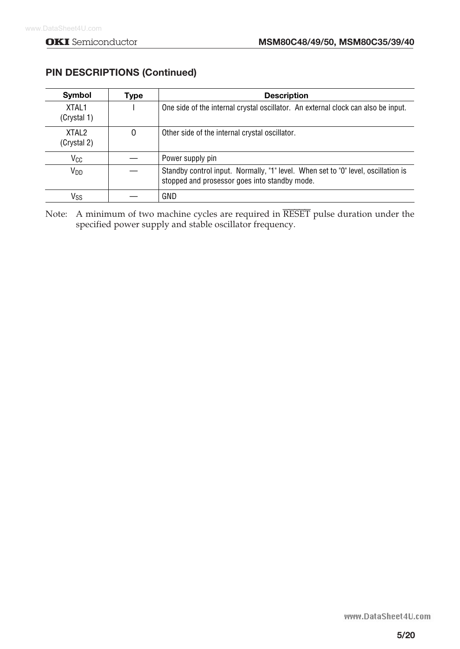| Symbol                | Type | <b>Description</b>                                                                                                                 |
|-----------------------|------|------------------------------------------------------------------------------------------------------------------------------------|
| XTAI 1<br>(Crystal 1) |      | One side of the internal crystal oscillator. An external clock can also be input.                                                  |
| XTAI 2<br>(Crystal 2) | 0    | Other side of the internal crystal oscillator.                                                                                     |
| V <sub>CC</sub>       |      | Power supply pin                                                                                                                   |
| V <sub>DD</sub>       |      | Standby control input. Normally, "1" level. When set to "0" level, oscillation is<br>stopped and prosessor goes into standby mode. |
| Vss                   |      | GND                                                                                                                                |

# **PIN DESCRIPTIONS (Continued)**

Note: A minimum of two machine cycles are required in RESET pulse duration under the specified power supply and stable oscillator frequency.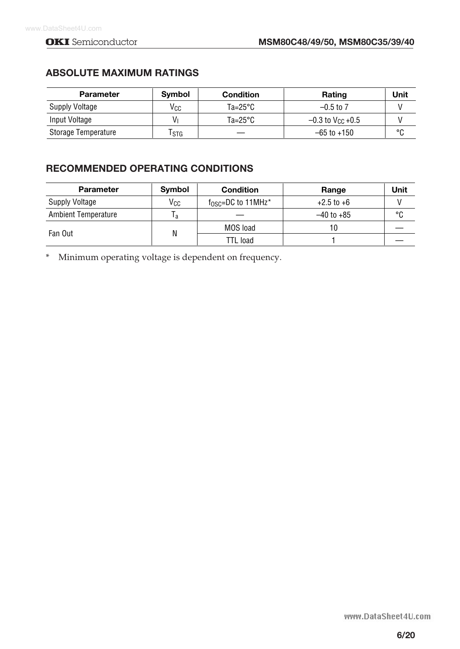# **ABSOLUTE MAXIMUM RATINGS**

| Parameter           | <b>Symbol</b> | <b>Condition</b>   | Rating                         | Unit    |
|---------------------|---------------|--------------------|--------------------------------|---------|
| Supply Voltage      | Vcc           | $Ta = 25^{\circ}C$ | $-0.5$ to 7                    |         |
| Input Voltage       | Vı            | $Ta = 25^{\circ}C$ | $-0.3$ to V <sub>CC</sub> +0.5 |         |
| Storage Temperature | Tstg          |                    | −65 to +150                    | $\circ$ |

# **RECOMMENDED OPERATING CONDITIONS**

| <b>Parameter</b>           | Symbol | <b>Condition</b>                        | Range          | Unit |
|----------------------------|--------|-----------------------------------------|----------------|------|
| <b>Supply Voltage</b>      | Vcc    | $f_{\rm OSC}$ =DC to 11MHz <sup>*</sup> | $+2.5$ to $+6$ |      |
| <b>Ambient Temperature</b> | I a    |                                         | $-40$ to $+85$ | °C   |
|                            |        | MOS load                                | 10             |      |
| Fan Out                    | N      | TTL load                                |                |      |

\* Minimum operating voltage is dependent on frequency.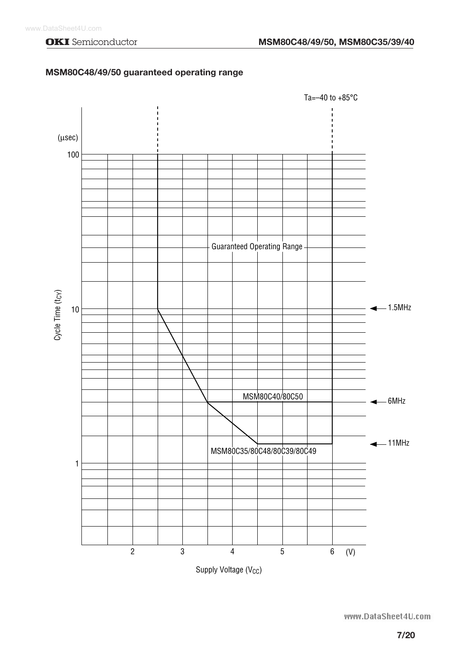### **MSM80C48/49/50 guaranteed operating range**

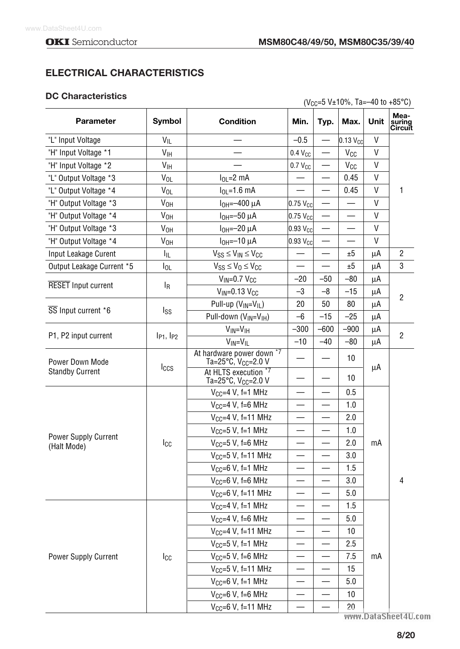# **ELECTRICAL CHARACTERISTICS**

### **DC Characteristics**

| <b>DG Gharacteristics</b>                  |                     |                                                       |                          |        | $(V_{CC} = 5 V \pm 10\%$ , Ta = -40 to +85°C) |      |                           |  |
|--------------------------------------------|---------------------|-------------------------------------------------------|--------------------------|--------|-----------------------------------------------|------|---------------------------|--|
| Parameter                                  | Symbol              | <b>Condition</b>                                      | Min.                     | Typ.   | Max.                                          | Unit | Mea-<br>suring<br>Circuit |  |
| "L" Input Voltage                          | $V_{IL}$            |                                                       | $-0.5$                   |        | $0.13$ V <sub>CC</sub>                        | V    |                           |  |
| "H" Input Voltage *1                       | V <sub>IH</sub>     |                                                       | $0.4 V_{CC}$             |        | <b>V<sub>CC</sub></b>                         | V    |                           |  |
| "H" Input Voltage *2                       | V <sub>IH</sub>     |                                                       | $0.7 V_{CC}$             |        | V <sub>CC</sub>                               | V    |                           |  |
| "L" Output Voltage *3                      | $V_{OL}$            | $IOL=2$ mA                                            |                          |        | 0.45                                          | V    |                           |  |
| "L" Output Voltage *4                      | $V_{OL}$            | $I_{OL} = 1.6$ mA                                     |                          |        | 0.45                                          | V    | 1                         |  |
| "H" Output Voltage *3                      | V <sub>OH</sub>     | $I_{OH} = -400 \mu A$                                 | $0.75$ V <sub>CC</sub>   |        |                                               | V    |                           |  |
| "H" Output Voltage *4                      | V <sub>OH</sub>     | $IOH=-50 \mu A$                                       | $0.75$ V <sub>cc</sub>   |        |                                               | V    |                           |  |
| "H" Output Voltage *3                      | V <sub>OH</sub>     | $IOH=-20\muA$                                         | $0.93$ V <sub>cc</sub>   |        |                                               | V    |                           |  |
| "H" Output Voltage *4                      | V <sub>OH</sub>     | $IOH=-10 \mu A$                                       | $0.93$ V <sub>cc</sub>   |        |                                               | V    |                           |  |
| Input Leakage Curent                       | Ιı                  | $V_{SS} \leq V_{IN} \leq V_{CC}$                      |                          |        | ±5                                            | μA   | $\overline{2}$            |  |
| Output Leakage Current *5                  | $I_{OL}$            | $V_{SS} \leq V_0 \leq V_{CC}$                         |                          |        | ±5                                            | μA   | 3                         |  |
|                                            |                     | $V_{IN} = 0.7 V_{CC}$                                 | $-20$                    | $-50$  | $-80$                                         | μA   |                           |  |
| <b>RESET</b> Input current                 | l <sub>R</sub>      | $V_{IN} = 0.13$ $V_{CC}$                              | $-3$                     | $-8$   | $-15$                                         | μA   | $\overline{2}$            |  |
|                                            |                     | Pull-up $(V_{IN} = V_{IL})$                           | 20                       | 50     | 80                                            | μA   |                           |  |
| SS Input current *6                        | $I_{SS}$            | Pull-down (V <sub>IN</sub> =V <sub>IH</sub> )         | $-6$                     | $-15$  | $-25$                                         | μA   |                           |  |
|                                            |                     | $V_{IN} = V_{IH}$                                     | $-300$                   | $-600$ | $-900$                                        | μA   | $\overline{2}$            |  |
| P1, P2 input current                       | $I_{P1}$ , $I_{P2}$ | $V_{IN} = V_{IL}$                                     | $-10$                    | $-40$  | $-80$                                         | μA   |                           |  |
| Power Down Mode                            |                     | At hardware power down *7<br>Ta=25°C, $V_{CC}$ =2.0 V |                          |        | 10                                            | μA   |                           |  |
| <b>Standby Current</b>                     | Iccs                | At HLTS execution *7<br>Ta=25°C, Vcc=2.0 V            |                          |        | 10                                            |      |                           |  |
|                                            |                     | $V_{CC} = 4 V$ , f=1 MHz                              |                          |        | 0.5                                           |      |                           |  |
|                                            |                     | $V_{CC}=4$ V, f=6 MHz                                 |                          |        | 1.0                                           |      |                           |  |
|                                            |                     | $V_{CC}=4$ V, f=11 MHz                                |                          |        | 2.0                                           |      |                           |  |
|                                            |                     | $V_{CC} = 5 V$ , f=1 MHz                              | $\overline{\phantom{0}}$ |        | 1.0                                           |      |                           |  |
| <b>Power Supply Current</b><br>(Halt Mode) | Icc                 | $V_{CC} = 5 V$ , f=6 MHz                              |                          |        | 2.0                                           | mA   |                           |  |
|                                            |                     | $V_{CC} = 5 V$ , f=11 MHz                             |                          |        | 3.0                                           |      |                           |  |
|                                            |                     | $V_{CC}=6$ V, f=1 MHz                                 |                          |        | 1.5                                           |      |                           |  |
|                                            |                     | $V_{CC}=6$ V, f=6 MHz                                 |                          |        | 3.0                                           |      | 4                         |  |
|                                            |                     | $V_{CC}=6$ V, f=11 MHz                                |                          |        | $5.0\,$                                       |      |                           |  |
|                                            |                     | $V_{CC} = 4 V$ , f=1 MHz                              |                          |        | 1.5                                           |      |                           |  |
|                                            |                     | $V_{CC} = 4 V$ , f=6 MHz                              |                          |        | 5.0                                           |      |                           |  |
|                                            |                     | $V_{CC}=4$ V, f=11 MHz                                |                          |        | 10                                            |      |                           |  |
|                                            |                     | $V_{CC} = 5 V$ , f=1 MHz                              |                          |        | 2.5                                           |      |                           |  |
| Power Supply Current                       | Icc                 | $V_{CC} = 5 V$ , f=6 MHz                              |                          |        | 7.5                                           | mA   |                           |  |
|                                            |                     | $V_{CC} = 5 V$ , f=11 MHz                             |                          |        | 15                                            |      |                           |  |
|                                            |                     | $V_{CC}=6$ V, f=1 MHz                                 |                          |        | 5.0                                           |      |                           |  |
|                                            |                     | V <sub>CC</sub> =6 V, f=6 MHz                         |                          |        | 10                                            |      |                           |  |
|                                            |                     | $V_{CC}=6$ V, f=11 MHz                                |                          |        | 20                                            |      |                           |  |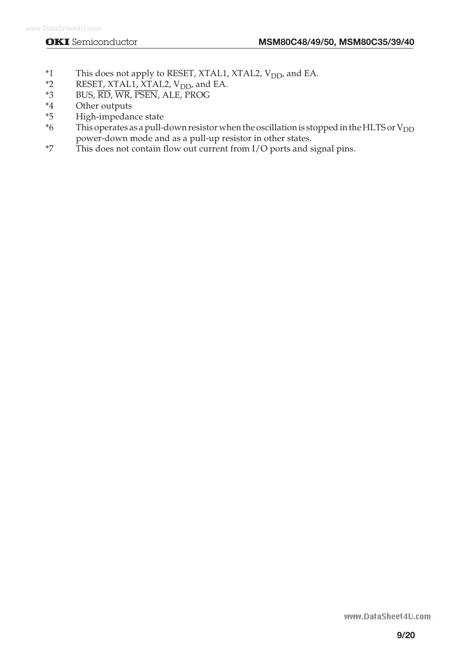- \*1 This does not apply to RESET, XTAL1, XTAL2,  $V_{DD}$ , and EA.<br>\*2 RESET, XTAL1, XTAL2,  $V_{DD}$ , and EA.
- \*2 RESET, XTAL1, XTAL2,  $V_{DD}$ , and EA.<br>\*3 BUS.  $\overline{RD}$ ,  $\overline{WR}$ ,  $\overline{PSEN}$ , ALE, PROG
- BUS,  $\overline{\text{RD}}$ , WR, PSEN, ALE, PROG
- \*4 Other outputs
- \*5 High-impedance state
- This operates as a pull-down resistor when the oscillation is stopped in the HLTS or  $V_{DD}$ power-down mode and as a pull-up resistor in other states.
- \*7 This does not contain flow out current from I/O ports and signal pins.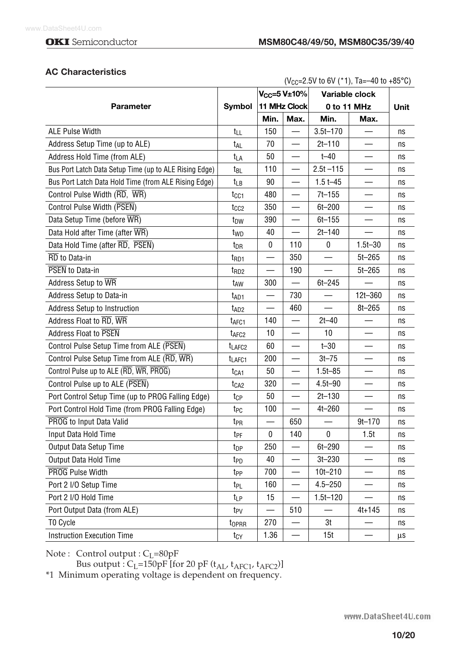### **AC Characteristics**

| ( $V_{CC}$ =2.5V to 6V (*1), Ta=-40 to +85°C)          |                    |                          |                          |              |                |      |
|--------------------------------------------------------|--------------------|--------------------------|--------------------------|--------------|----------------|------|
|                                                        |                    |                          | $V_{CC} = 5 V \pm 10\%$  |              | Variable clock |      |
| <b>Parameter</b>                                       | Symbol             |                          | 11 MHz Clock             |              | 0 to 11 MHz    | Unit |
|                                                        |                    | Min.                     | Max.                     | Min.         | Max.           |      |
| <b>ALE Pulse Width</b>                                 | t <sub>LL</sub>    | 150                      |                          | $3.5t - 170$ |                | ns   |
| Address Setup Time (up to ALE)                         | t <sub>AL</sub>    | 70                       |                          | $2t - 110$   |                | ns   |
| Address Hold Time (from ALE)                           | t <sub>LA</sub>    | 50                       |                          | $t - 40$     |                | ns   |
| Bus Port Latch Data Setup Time (up to ALE Rising Edge) | t <sub>BL</sub>    | 110                      |                          | $2.5t - 115$ |                | ns   |
| Bus Port Latch Data Hold Time (from ALE Rising Edge)   | t <sub>LB</sub>    | 90                       |                          | $1.5t - 45$  |                | ns   |
| Control Pulse Width (RD, WR)                           | t <sub>CC1</sub>   | 480                      |                          | 7t-155       |                | ns   |
| Control Pulse Width (PSEN)                             | tcc2               | 350                      |                          | $6t - 200$   |                | ns   |
| Data Setup Time (before WR)                            | t <sub>DW</sub>    | 390                      |                          | $6t - 155$   |                | ns   |
| Data Hold after Time (after WR)                        | t <sub>WD</sub>    | 40                       | —                        | $2t - 140$   |                | ns   |
| Data Hold Time (after RD, PSEN)                        | t <sub>DR</sub>    | $\mathbf{0}$             | 110                      | 0            | $1.5t - 30$    | ns   |
| RD to Data-in                                          | t <sub>RD1</sub>   |                          | 350                      |              | $5t - 265$     | ns   |
| PSEN to Data-in                                        | t <sub>RD2</sub>   |                          | 190                      |              | $5t - 265$     | ns   |
| Address Setup to WR                                    | t <sub>AW</sub>    | 300                      | $\overline{\phantom{0}}$ | $6t - 245$   |                | ns   |
| Address Setup to Data-in                               | t <sub>AD1</sub>   | $\overline{\phantom{0}}$ | 730                      |              | 12t-360        | ns   |
| Address Setup to Instruction                           | t <sub>AD2</sub>   |                          | 460                      |              | $8t - 265$     | ns   |
| Address Float to RD, WR                                | t <sub>AFC1</sub>  | 140                      | $\overline{\phantom{0}}$ | $2t - 40$    |                | ns   |
| Address Float to PSEN                                  | t <sub>AFC2</sub>  | 10                       |                          | 10           |                | ns   |
| Control Pulse Setup Time from ALE (PSEN)               | t <sub>LAFC2</sub> | 60                       |                          | $t - 30$     |                | ns   |
| Control Pulse Setup Time from ALE (RD, WR)             | t <sub>LAFC1</sub> | 200                      |                          | $3t - 75$    |                | ns   |
| Control Pulse up to ALE (RD, WR, PROG)                 | t <sub>CA1</sub>   | 50                       |                          | $1.5t - 85$  |                | ns   |
| Control Pulse up to ALE (PSEN)                         | t <sub>CA2</sub>   | 320                      | $\overline{\phantom{0}}$ | 4.5t-90      |                | ns   |
| Port Control Setup Time (up to PROG Falling Edge)      | tcp                | 50                       |                          | $2t - 130$   |                | ns   |
| Port Control Hold Time (from PROG Falling Edge)        | t <sub>PC</sub>    | 100                      |                          | $4t - 260$   |                | ns   |
| PROG to Input Data Valid                               | t <sub>PR</sub>    |                          | 650                      |              | $9t - 170$     | ns   |
| Input Data Hold Time                                   | t <sub>PF</sub>    | 0                        | 140                      | 0            | 1.5t           | ns   |
| Output Data Setup Time                                 | t <sub>DP</sub>    | 250                      |                          | $6t - 290$   |                | ns   |
| Output Data Hold Time                                  | t <sub>PD</sub>    | 40                       |                          | $3t - 230$   |                | ns   |
| <b>PROG Pulse Width</b>                                | t <sub>PP</sub>    | 700                      |                          | $10t - 210$  |                | ns   |
| Port 2 I/O Setup Time                                  | t <sub>PL</sub>    | 160                      |                          | $4.5 - 250$  |                | ns   |
| Port 2 I/O Hold Time                                   | t <sub>LP</sub>    | 15                       |                          | $1.5t - 120$ |                | ns   |
| Port Output Data (from ALE)                            | t <sub>PV</sub>    |                          | 510                      |              | 4t+145         | ns   |
| TO Cycle                                               | toprr              | 270                      |                          | 3t           |                | ns   |
| <b>Instruction Execution Time</b>                      | t <sub>CY</sub>    | 1.36                     |                          | 15t          |                | μs   |

Note : Control output : CL=80pF

Bus output :  $C_L$ =150pF [for 20 pF ( $t_{AL}$ ,  $t_{AFC1}$ ,  $t_{AFC2}$ )]

\*1 Minimum operating voltage is dependent on frequency.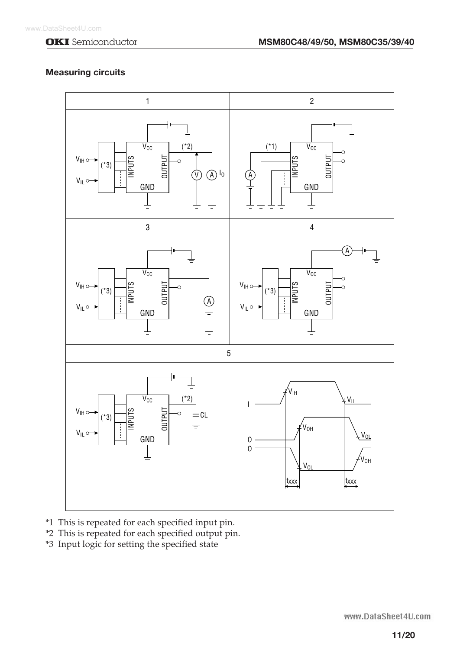## **Measuring circuits**



- \*1 This is repeated for each specified input pin.
- \*2 This is repeated for each specified output pin.
- \*3 Input logic for setting the specified state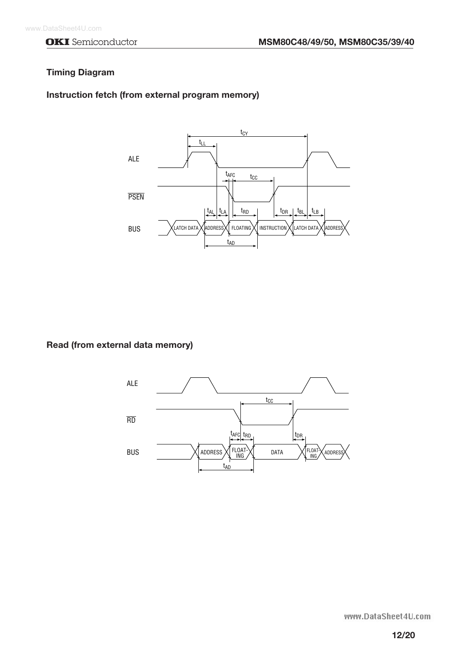#### **Timing Diagram**

#### **Instruction fetch (from external program memory)**



**Read (from external data memory)**

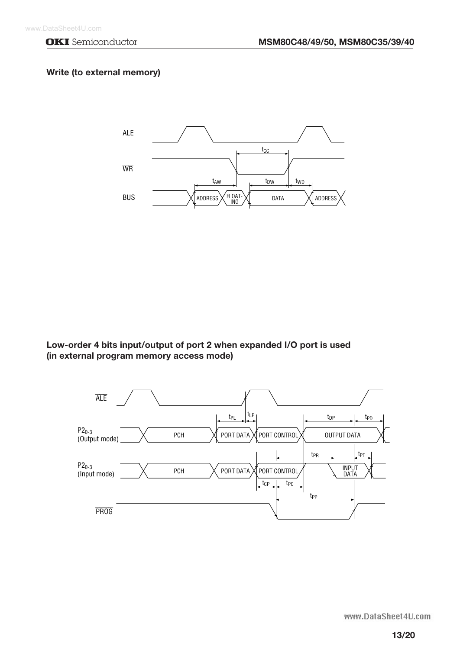### **Write (to external memory)**



**Low-order 4 bits input/output of port 2 when expanded I/O port is used (in external program memory access mode)**

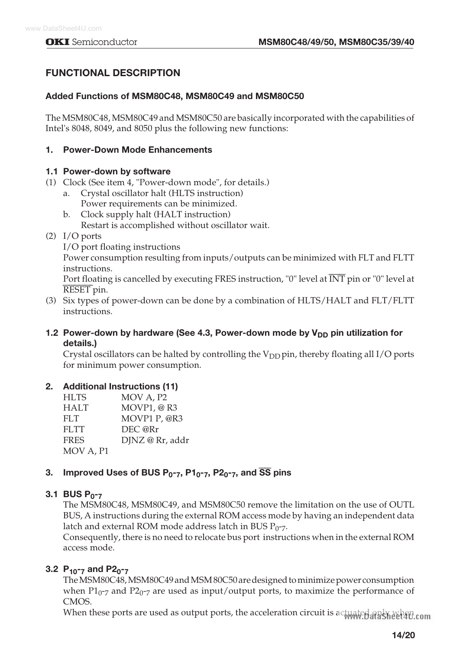# **FUNCTIONAL DESCRIPTION**

### **Added Functions of MSM80C48, MSM80C49 and MSM80C50**

The MSM80C48, MSM80C49 and MSM80C50 are basically incorporated with the capabilities of Intel's 8048, 8049, and 8050 plus the following new functions:

#### **1. Power-Down Mode Enhancements**

#### **1.1 Power-down by software**

- (1) Clock (See item 4, "Power-down mode", for details.)
	- a. Crystal oscillator halt (HLTS instruction) Power requirements can be minimized.
	- b. Clock supply halt (HALT instruction) Restart is accomplished without oscillator wait.
- (2) I/O ports
	- I/O port floating instructions

Power consumption resulting from inputs/outputs can be minimized with FLT and FLTT instructions.

Port floating is cancelled by executing FRES instruction, "0" level at  $\overline{\text{INT}}$  pin or "0" level at RESET pin.

(3) Six types of power-down can be done by a combination of HLTS/HALT and FLT/FLTT instructions.

### **1.2 Power-down by hardware (See 4.3, Power-down mode by V<sub>DD</sub> pin utilization for details.)**

Crystal oscillators can be halted by controlling the  $V_{DD}$  pin, thereby floating all I/O ports for minimum power consumption.

### **2. Additional Instructions (11)**

| <b>HLTS</b> | MOV A, P <sub>2</sub> |
|-------------|-----------------------|
| <b>HALT</b> | MOVP1, @R3            |
| FLT         | MOVP1 P, @R3          |
| FLTT        | DEC @Rr               |
| <b>FRES</b> | DJNZ @ Rr, addr       |
| MOV A, P1   |                       |

# **3. Improved Uses of BUS P0-7, P10-7, P20-7, and** SS **pins**

#### **3.1 BUS P0-7**

The MSM80C48, MSM80C49, and MSM80C50 remove the limitation on the use of OUTL BUS, A instructions during the external ROM access mode by having an independent data latch and external ROM mode address latch in BUS  $P_{0^-7}$ .

Consequently, there is no need to relocate bus port instructions when in the external ROM access mode.

# **3.2 P10-7 and P20-7**

The MSM80C48, MSM80C49 and MSM 80C50 are designed to minimize power consumption when P1 $_{0}$ -7 and P2 $_{0}$ -7 are used as input/output ports, to maximize the performance of CMOS.

When these ports are used as output ports, the acceleration circuit is actuated and when com-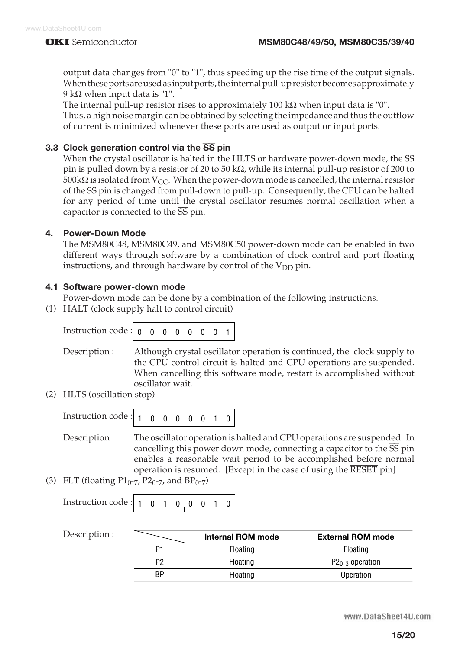output data changes from "0" to "1", thus speeding up the rise time of the output signals. When these ports are used as input ports, the internal pull-up resistor becomes approximately 9 k $\Omega$  when input data is "1".

The internal pull-up resistor rises to approximately 100 k $\Omega$  when input data is "0". Thus, a high noise margin can be obtained by selecting the impedance and thus the outflow of current is minimized whenever these ports are used as output or input ports.

### **3.3 Clock generation control via the** SS **pin**

When the crystal oscillator is halted in the HLTS or hardware power-down mode, the  $\overline{SS}$ pin is pulled down by a resistor of 20 to 50 k $\Omega$ , while its internal pull-up resistor of 200 to 500k $\Omega$  is isolated from V<sub>CC</sub>. When the power-down mode is cancelled, the internal resistor of the SS pin is changed from pull-down to pull-up. Consequently, the CPU can be halted for any period of time until the crystal oscillator resumes normal oscillation when a capacitor is connected to the  $\overline{SS}$  pin.

### **4. Power-Down Mode**

The MSM80C48, MSM80C49, and MSM80C50 power-down mode can be enabled in two different ways through software by a combination of clock control and port floating instructions, and through hardware by control of the  $V_{DD}$  pin.

### **4.1 Software power-down mode**

Power-down mode can be done by a combination of the following instructions.

(1) HALT (clock supply halt to control circuit)

| Instruction code : $\begin{bmatrix} 0 & 0 & 0 & 0 \\ 0 & 0 & 0 & 0 \end{bmatrix}$ |  |  |  |  |  |
|-----------------------------------------------------------------------------------|--|--|--|--|--|
|                                                                                   |  |  |  |  |  |

Description : Although crystal oscillator operation is continued, the clock supply to the CPU control circuit is halted and CPU operations are suspended. When cancelling this software mode, restart is accomplished without oscillator wait.

(2) HLTS (oscillation stop)

Description : The oscillator operation is halted and CPU operations are suspended. In cancelling this power down mode, connecting a capacitor to the  $\overline{SS}$  pin enables a reasonable wait period to be accomplished before normal operation is resumed. [Except in the case of using the RESET pin]

(3) FLT (floating  $P1_{0^-7}$ ,  $P2_{0^-7}$ , and  $BP_{0^-7}$ )

| Instruction code : $\begin{vmatrix} 1 & 0 & 1 & 0 & 0 & 0 & 1 & 0 \end{vmatrix}$ |  |  |  |  |  |  |  |  |
|----------------------------------------------------------------------------------|--|--|--|--|--|--|--|--|
|----------------------------------------------------------------------------------|--|--|--|--|--|--|--|--|

| Description : |    | <b>Internal ROM mode</b> | <b>External ROM mode</b> |
|---------------|----|--------------------------|--------------------------|
|               | P1 | Floating                 | Floating                 |
|               | P2 | Floating                 | $P2_{0^-3}$ operation    |
|               | BP | Floating                 | Operation                |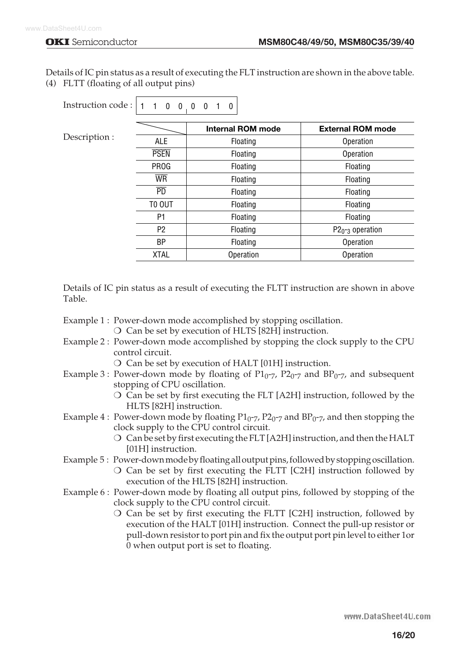Details of IC pin status as a result of executing the FLT instruction are shown in the above table. (4) FLTT (floating of all output pins)

| Instruction code :   1 | $1 \quad 0 \quad 0 \quad 0$ | $\mathbf{0}$<br>$\mathbf{0}$ |                                |
|------------------------|-----------------------------|------------------------------|--------------------------------|
| Description :          |                             | <b>Internal ROM mode</b>     | <b>External ROM mode</b>       |
|                        | <b>ALE</b>                  | Floating                     | Operation                      |
|                        | <b>PSEN</b>                 | Floating                     | Operation                      |
|                        | <b>PROG</b>                 | Floating                     | Floating                       |
|                        | <b>WR</b>                   | Floating                     | Floating                       |
|                        | $\overline{\text{PD}}$      | Floating                     | Floating                       |
|                        | TO OUT                      | Floating                     | Floating                       |
|                        | P <sub>1</sub>              | Floating                     | Floating                       |
|                        | P <sub>2</sub>              | Floating                     | $P20$ - <sub>3</sub> operation |
|                        | ΒP                          | Floating                     | Operation                      |
|                        | <b>XTAL</b>                 | Operation                    | Operation                      |

Details of IC pin status as a result of executing the FLTT instruction are shown in above Table.

- Example 1 : Power-down mode accomplished by stopping oscillation.
	- $\circ$  Can be set by execution of HLTS [82H] instruction.
- Example 2 : Power-down mode accomplished by stopping the clock supply to the CPU control circuit.
	- $\bigcirc$  Can be set by execution of HALT [01H] instruction.
- Example 3 : Power-down mode by floating of  $P1_{0^-7}$ ,  $P2_{0^-7}$  and  $BP_0$ -7, and subsequent stopping of CPU oscillation.
	- $\circ$  Can be set by first executing the FLT [A2H] instruction, followed by the HLTS [82H] instruction.
- Example 4 : Power-down mode by floating  $P1_{0^-7}$ ,  $P2_{0^-7}$  and  $BP_{0^-7}$ , and then stopping the clock supply to the CPU control circuit.
	- $\bigcirc$  Can be set by first executing the FLT [A2H] instruction, and then the HALT [01H] instruction.
- Example 5 : Power-down mode by floating all output pins, followed by stopping oscillation.
	- $\overline{O}$  Can be set by first executing the FLTT [C2H] instruction followed by execution of the HLTS [82H] instruction.
- Example 6 : Power-down mode by floating all output pins, followed by stopping of the clock supply to the CPU control circuit.
	- $\overline{O}$  Can be set by first executing the FLTT [C2H] instruction, followed by execution of the HALT [01H] instruction. Connect the pull-up resistor or pull-down resistor to port pin and fix the output port pin level to either 1or 0 when output port is set to floating.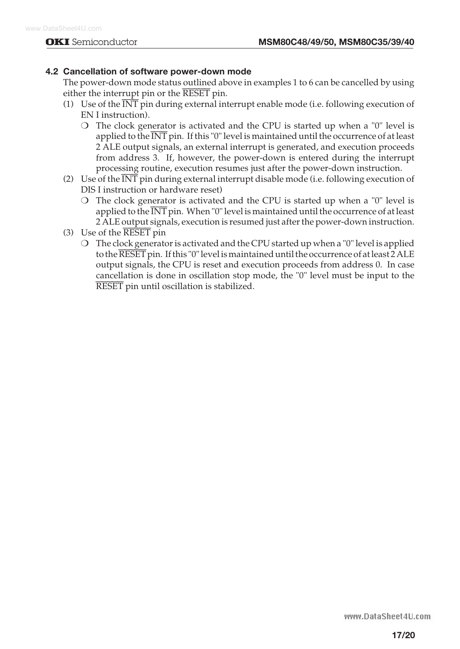### **4.2 Cancellation of software power-down mode**

The power-down mode status outlined above in examples 1 to 6 can be cancelled by using either the interrupt pin or the RESET pin.

- (1) Use of the  $\overline{\text{INT}}$  pin during external interrupt enable mode (i.e. following execution of EN I instruction).
	- $\circ$  The clock generator is activated and the CPU is started up when a "0" level is applied to the INT pin. If this "0" level is maintained until the occurrence of at least 2 ALE output signals, an external interrupt is generated, and execution proceeds from address 3. If, however, the power-down is entered during the interrupt processing routine, execution resumes just after the power-down instruction.
- (2) Use of the INT pin during external interrupt disable mode (i.e. following execution of DIS I instruction or hardware reset)
	- $\overline{O}$  The clock generator is activated and the CPU is started up when a "0" level is applied to the  $\overline{\text{INT}}$  pin. When "0" level is maintained until the occurrence of at least 2 ALE output signals, execution is resumed just after the power-down instruction.
- (3) Use of the RESET pin
	- $\overline{O}$  The clock generator is activated and the CPU started up when a "0" level is applied to the  $\overline{\text{REST}}$  pin. If this "0" level is maintained until the occurrence of at least 2 ALE output signals, the CPU is reset and execution proceeds from address 0. In case cancellation is done in oscillation stop mode, the "0" level must be input to the RESET pin until oscillation is stabilized.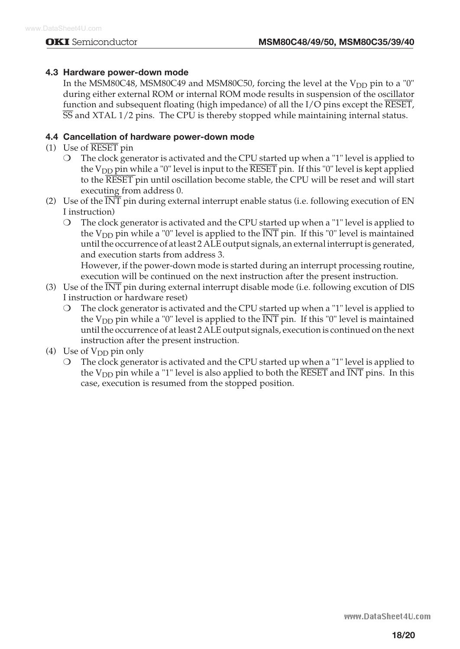### **4.3 Hardware power-down mode**

In the MSM80C48, MSM80C49 and MSM80C50, forcing the level at the  $V_{DD}$  pin to a "0" during either external ROM or internal ROM mode results in suspension of the oscillator function and subsequent floating (high impedance) of all the I/O pins except the RESET, SS and XTAL 1/2 pins. The CPU is thereby stopped while maintaining internal status.

### **4.4 Cancellation of hardware power-down mode**

- (1) Use of RESET pin
	- $\bigcirc$  The clock generator is activated and the CPU started up when a "1" level is applied to the  $V_{DD}$  pin while a "0" level is input to the RESET pin. If this "0" level is kept applied to the RESET pin until oscillation become stable, the CPU will be reset and will start executing from address 0.
- (2) Use of the  $\overline{\text{INT}}$  pin during external interrupt enable status (i.e. following execution of EN I instruction)
	- $\bigcirc$  The clock generator is activated and the CPU started up when a "1" level is applied to the  $V_{DD}$  pin while a "0" level is applied to the  $\overline{INT}$  pin. If this "0" level is maintained until the occurrence of at least 2 ALE output signals, an external interrupt is generated, and execution starts from address 3.

However, if the power-down mode is started during an interrupt processing routine, execution will be continued on the next instruction after the present instruction.

- (3) Use of the INT pin during external interrupt disable mode (i.e. following excution of DIS I instruction or hardware reset)
	- $\overline{O}$  The clock generator is activated and the CPU started up when a "1" level is applied to the V<sub>DD</sub> pin while a "0" level is applied to the  $\overline{INT}$  pin. If this "0" level is maintained until the occurrence of at least 2 ALE output signals, execution is continued on the next instruction after the present instruction.
- (4) Use of  $V_{DD}$  pin only
	- $\bigcirc$  The clock generator is activated and the CPU started up when a "1" level is applied to the  $V_{DD}$  pin while a "1" level is also applied to both the RESET and INT pins. In this case, execution is resumed from the stopped position.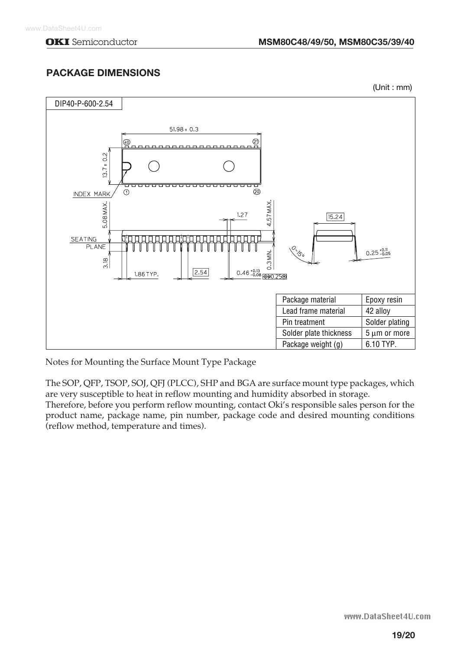# **PACKAGE DIMENSIONS**

(Unit : mm)



Notes for Mounting the Surface Mount Type Package

The SOP, QFP, TSOP, SOJ, QFJ (PLCC), SHP and BGA are surface mount type packages, which are very susceptible to heat in reflow mounting and humidity absorbed in storage.

Therefore, before you perform reflow mounting, contact Oki's responsible sales person for the product name, package name, pin number, package code and desired mounting conditions (reflow method, temperature and times).